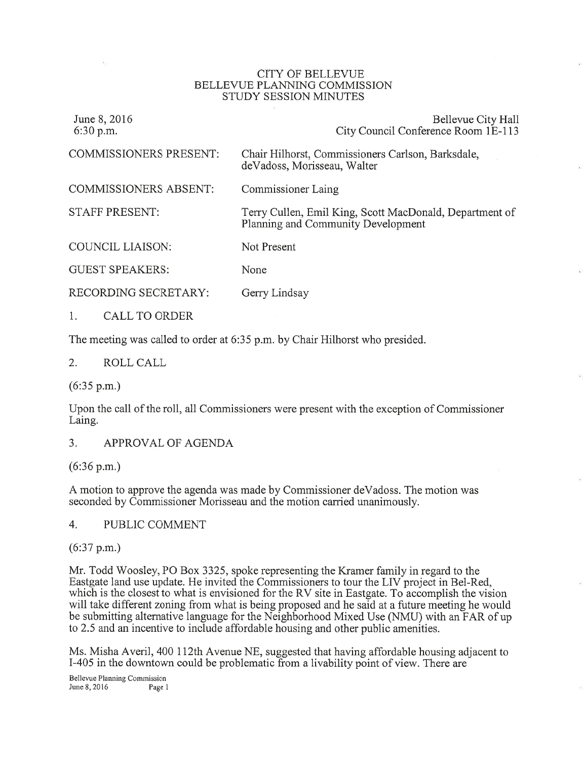#### CITY OF BELLEVUE BELLEVUE PLANNING COMMISSION STUDY SESSION MINUTES

| June 8, 2016<br>$6:30$ p.m.   | Bellevue City Hall<br>City Council Conference Room 1E-113                                     |
|-------------------------------|-----------------------------------------------------------------------------------------------|
| <b>COMMISSIONERS PRESENT:</b> | Chair Hilhorst, Commissioners Carlson, Barksdale,<br>deVadoss, Morisseau, Walter              |
| <b>COMMISSIONERS ABSENT:</b>  | <b>Commissioner Laing</b>                                                                     |
| <b>STAFF PRESENT:</b>         | Terry Cullen, Emil King, Scott MacDonald, Department of<br>Planning and Community Development |
| <b>COUNCIL LIAISON:</b>       | Not Present                                                                                   |
| <b>GUEST SPEAKERS:</b>        | None                                                                                          |
| RECORDING SECRETARY:          | Gerry Lindsay                                                                                 |
| CALL TO ORDER                 |                                                                                               |

The meeting was called to order at 6:35 p.m. by Chair Hilhorst who presided.

2. ROLL CALL

(6:35 p.m.)

Upon the call of the roll, all Commissioners were present with the exception of Commissioner Laing.

3. APPROVAL OF AGENDA

(6:36 p.m.)

A motion to approve the agenda was made by Commissioner deVadoss. The motion was seconded by Commissioner Morisseau and the motion carried unanimously.

4. PUBLIC COMMENT

(6:37 p.m.)

Mr. Todd Woosley, PO Box 3325, spoke representing the Kramer family in regard to the Eastgate land use update. He invited the Commissioners to tour the LIV project in Bel-Red, which is the closest to what is envisioned for the RV site in Eastgate. To accomplish the vision will take different zoning from what is being proposed and he said at a future meeting he would be submitting altemative language for the Neighborhood Mixed Use (NMU) with an FAR of up to 2.5 and an incentive to include affordable housing and other public amenities.

Ms. Misha Averil, 400 112th Avenue NE, suggested that having affordable housing adjacent to I-405 in the downtown could be problematic from a livability point of view. There are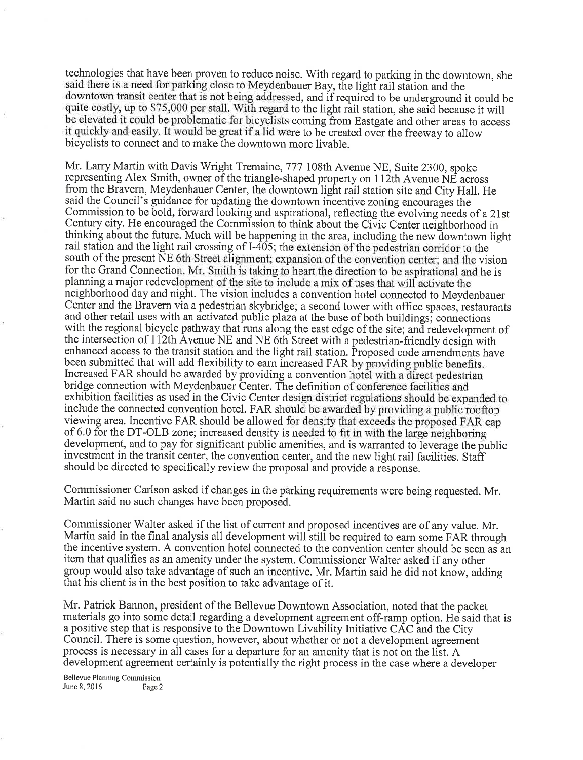technologies that have been proven to reduce noise. With regard to parking in the downtown, she said there is a need for parking close to Meydenbauer Bay, the light rail station and the downtown transit center that is not being addressed, and if required to be underground it could be quite costly, up to \$75,000 per stall. With regard to the light rail station, she said because it will be elevated it could be problematic for bicyclists coming from Eastgate and other areas to access it quickly and easily. It would be great if a lid were to be created over the freeway to allow bicyclists to connect and to make the downtown more livable.

Mr. Larry Martin with Davis Wright Tremaine, 777 108th Avenue NE, Suite 2300, spoke representing Alex Smith, owner of the triangle-shaped property on 112th Avenue  $\overrightarrow{NE}$  across from the Bravern, Meydenbauer Center, the downtown light rail station site and City Hall. He said the Council's guidance for updating the downtown incentive zoning encourages the Commission to be bold, forward looking and aspirational, reflecting the evolving needs of a 21st Century city. He encouraged the Commission to think about the Civic Center neighborhood in<br>thinking about the fatters. Much will be been thinking about the future. Much will be happening in the area, including the new downtown light rail station and the light rail crossing of  $I-405$ ; the extension of the pedestrian corridor to the south of the present NE 6th Street alignment; expansion of the convention center; and the vision for the Grand Connection. Mr. Smith is taking to heart the direction to be aspirational and he is planning a major redevelopment of the site to include a mix of uses that will activate the neighborhood day and night. The vision includes a convention hotel connected to Meydenbauer Center and the Bravern via a pedestrian skybridge; a second tower with office spaces, restaurants and other retail uses with an activated public plaza at the base of both buildings; connections with the regional bicycle pathway that runs along the east edge of the site; and redevelopment of the intersection of 112th Avenue NE and NE 6th Street with a pedestrian-friendly design with enhanced access to the transit station and the light rail station. Proposed code amendments have been submitted that will add flexibility to earn increased FAR by providing public benefits. Increased FAR should be awarded by providing a convention hotel with a direct pedestrian bridge connection with Meydenbauer Center. The definition of conference facilities and exhibition facilities as used in the Civic Center design district regulations should be expanded to include the connected convention hotel. FAR should be awarded by providing a public rooftop viewing area. Incentive FAR should be allowed for density that exceeds the proposed FAR cap of 6.0 for the DT-OLB zone; increased density is needed to fit in with the large neighboring development, and to pay for significant public amenities, and is warranted to leverage the public investment in the transit center, the convention center, and the new light rail facilities. Staff should be directed to specifically review the proposal and provide a response.

Commissioner Carlson asked if changes in the parking requirements were being requested. Mr. Martin said no such changes have been proposed.

Commissioner Walter asked if the list of current and proposed incentives are of any value. Mr. Martin said in the final analysis all development will still be required to earn some FAR through the incentive system. A convention hotel connected to the convention center should be seen as an item that qualifies as an amenity under the system. Commissioner Walter asked if any other group would also take advantage of such an incentive. Mr. Martin said he did not know, adding that his client is in the best position to take advantage of it.

Mr. Patrick Bannon, president of the Bellevue Downtown Association, noted that the packet materials go into some detail regarding a development agreement off-ramp option. He said that is a positive step that is responsive to the Downtown Livability Initiative CAC and the City Council. There is some question, however, about whether or not a development agreement process is necessary in all cases for a departure for an amenity that is not on the list. A development agreement certainly is potentially the right process in the case where a developer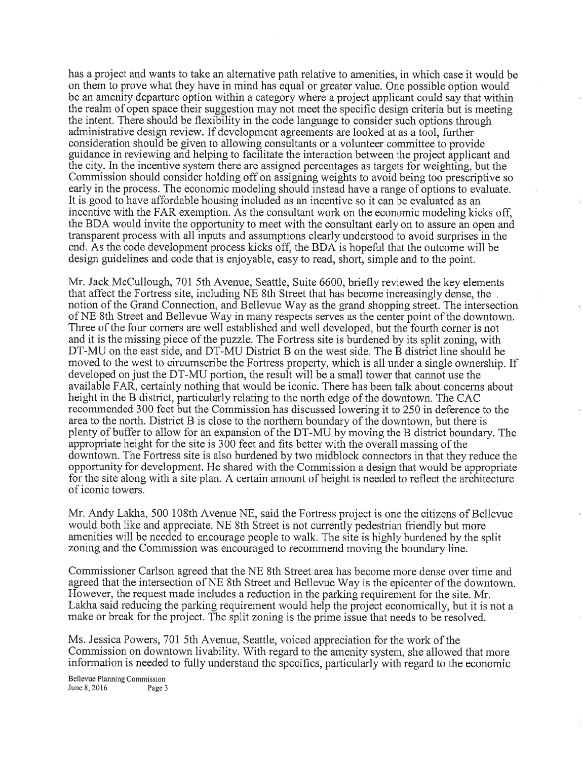has a project and wants to take an alternative path relative to amenities, in which case it would be on them to prove what they have in mind has equal or greater value. One possible option would be an amenity departure option within a category where a project applicant could say that within the realm of open space their suggestion may not meet the specific design criteria but is meeting the intent. There should be flexibility in the code language to consider such options through administrative design review. If development agreements are looked at as a tool, further consideration should be given to allowing consultants or a volunteer committee to provide guidance in reviewing and helping to facilitate the interaction between the project applicant and the city. In the incentive system there are assigned percentages as targets for weighting, but the Commission should consider holding off on assigning weights to avoid being too prescriptive so early in the process. The economic modeling should instead have a range of options to evaluate. It is good to have affordable housing included as an incentive so it can be evaluated as an incentive with the FAR exemption. As the consultant work on the economic modeling kicks off, the BDA would invite the opportunity to meet with the consultant early on to assure an open and transparent process with all inputs and assumptions clearly understood to avoid surprises in the end. As the code development process kicks off, the BDA is hopeful that the outcome will be design guidelines and code that is enjoyable, easy to read, short, simple and to the point.

Mr. Jack McCullough, 701 5th Avenue, Seattle, Suite 6600, briefly reviewed the key elements that affect the Fortress site, including NE 8th Street that has become increasingly dense, the notion of the Grand Connection, and Bellevue Way as the grand shopping street. The intersection of NE 8th Street and Bellevue Way in many respects serves as the center point of the downtown. Three of the four corners are well established and well developed, but the fourth corner is not and it is the missing piece of the puzzle. The Fortress site is burdened by its split zoning, with DT-MU on the east side, and DT-MU District B on the west side. The B district line should be moved to the west to circumscribe the Fortress property, which is all under a single ownership. If developed on just the DT-MU portion, the result will be a small tower that cannot use the available FAR, certainly nothing that would be iconic. There has been talk about concems about height in the B district, particularly relating to the north edge of the downtown. The CAC recommended 300 feet but the Commission has discussed lowering it to 250 in deference to the area to the north. District B is close to the northern boundary of the downtown, but there is plenty of buffer to allow for an expansion of the DT-MU by moving the B district boundary. The appropriate height for the site is 300 feet and fits better with the overall massing of the downtown. The Fortress site is also burdened by two midblock connectors in that they reduce the opporfunity for development. He shared with the Commission a design that would be appropriate for the site along with a site plan. A certain amount of height is needed to reflect the architecture of iconic towers.

Mr. Andy Lakha, 500 108th Avenue NE, said the Fortress project is one the citizens of Bellevue would both like and appreciate. NE 8th Street is not currently pedestrian friendly but more amenities will be needed to encourage people to walk. The site is highly burdened by the split zoning and the Commission was encouraged to recommend moving the boundary line.

Commissioner Carlson agreed that the NE 8th Street area has become more dense over time and agreed that the intersection of NE 8th Street and Bellevue Way is the epicenter of the downtown. However, the request made includes a reduction in the parking requirement for the site. Mr. Lakha said reducing the parking requirement would help the project economically, but it is not <sup>a</sup> make or break for the project. The split zoning is the prime issue that needs to be resolved.

Ms. Jessica Powers, 701 5th Avenue, Seattle, voiced appreciation for the work of the Commission on downtown livability. With regard to the amenity system, she allowed that more information is needed to fully understand tho specifics, particularly with regard to the economic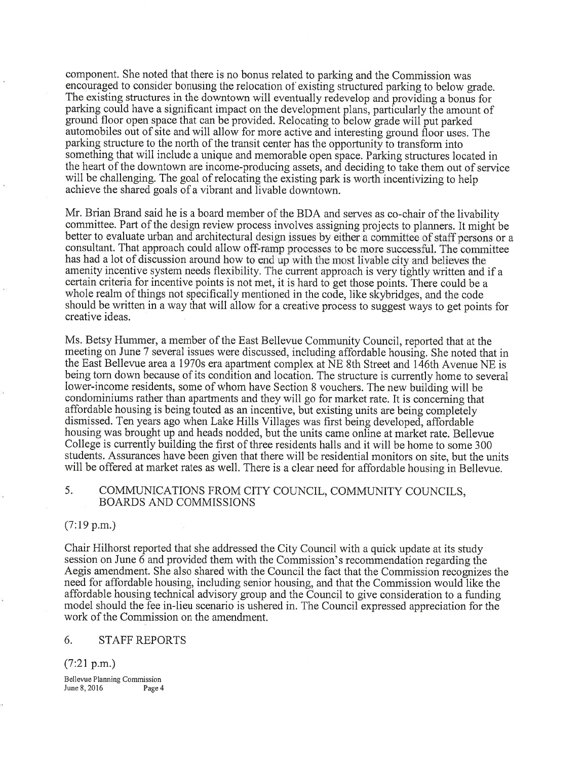component. She noted that there is no bonus related to parking and the Commission was encouraged to consider bonusing the relocation of existing structured parking to below grade. The existing structures in the downtown will eventually redevelop and providing a bonus for parking could have a significant impact on the development plans, particularly the amount of ground floor open space that can be provided. Relocating to below grade will put parked automobiles out of site and will allow for more active and interesting ground floof uses. The parking structure to the north of the transit center has the opportunity to transform into something that will include a unique and memorable open space. Parking structures located in the heart of the downtown are income-producing assets, and deciding to take them out of service will be challenging. The goal of relocating the existing park is worth incentivizing to help achieve the shared goals of a vibrant and livable downtown.

Mr. Brian Brand said he is a board member of the BDA and serves as co-chair of the livability committee. Part of the design review process involves assigning projects to planners. It mighf be better to evaluate urban and architectural design issues by either a committee of staff persons or a consultant. That approach could allow off-ramp processes to be more successful. The committee has had a lot of discussion around how to end up with the most livable city and believes the amenity incentive system needs flexibility. The current approach is very tightly written and if <sup>a</sup> certain criteria for incentive points is not met, it is hard to get those points. There could be <sup>a</sup> whole realm of things not specifically mentioned in the code, like skybridges, and the code should be written in a way that will allow for a creative process to suggesfways to get points for creative ideas.

Ms. Betsy Hummer, a member of the East Bellevue Community Council, reported that at the meeting on June 7 several issues were discussed, including affordable housing. She noted that in the East Bellevue area a 1970s era apartment complex at  $NE$  8th Street and 146th Avenue NE is being torn down because of its condition and location. The structure is currently home to several lower-income residents, some of whom have Section 8 vouchers. The new building will be condominiums rather than apartments and they will go for market rate. It is conceming that affordable housing is being touted as an incentive, but existing units are being completely dismissed. Ten years ago when Lake Hills Villages was first being developed, affordable housing was brought up and heads nodded, but the units came online at market rate. Bellevue College is currently building the first of three residents halls and it will be home to some 300 students. Assurances have been given that there will be residential monitors on site, but the units will be offered at market rates as well. There is a clear need for affordable housing in Bellevue.

## 5. COMMUNICATIONS FROM CITY COUNCIL, COMMUNITY COUNCILS, BOARDS AND COMMISSIONS

## (7:19 p.m.)

Chair Hilhorst reported that she addressed the City Council with a quick update at its study session on June  $\ddot{\text{o}}$  and provided them with the Commission's recommendation regarding the Aegis amendment. She also shared with the Council the fact that the Commission recognizes the need for affordable housing, including senior housing, and that the Commission would like the affordable housing technical advisory group and the Council to give consideration to a funding model should the fee in-lieu scenario is ushered in. The Council expressed appreciation for the work of the Commission on the amendment.

### 6. STAFFREPORTS

 $(7:21 \text{ p.m.})$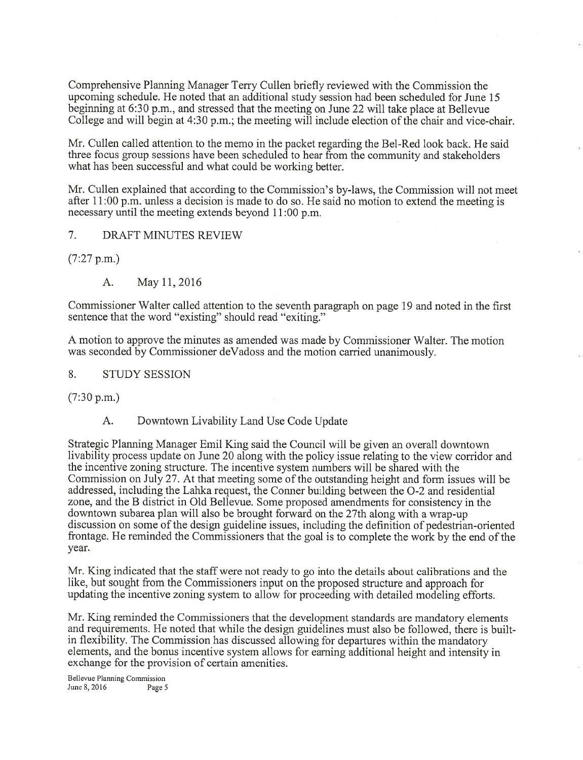Comprehensive Planning Manager Terry Cullen briefly reviewed with the Commission the upcoming schedule. He noted that an additional study session had been scheduled for June <sup>15</sup> beginning at 6:30 p.m., and stressed that the meeting on June 22 will take place at Bellevue College and will begin at 4:30 p.m.; the meeting will include election of the chair and vice-chair.

Mr. Cullen called attention to the memo in the packet regarding the Bel-Red look back. He said three focus group sessions have been scheduled to hear from the community and stakeholders what has been successful and what could be working better.

Mr. Cullen explained that according to the Commission's by-laws, the Commission will not meet after 11:00 p.m. unless a decision is made to do so. He said no motion to extend the meeting is necessary until the meeting extends beyond 11:00 p.m.

# 7. DRAFT MINUTES REVIEW

(7:27 p.m.)

A. May 17,2016

Commissioner Walter called attention to the seventh paragraph on page 19 and noted in the first sentence that the word "existing" should read "exiting."

A motion to approve the minutes as amended was made by Commissioner Walter. The motion was seconded by Commissioner deVadoss and the motion carried unanimously.

### 8. STUDY SESSION

(7:30 p.m.)

## A. Downtown Livability Land Use Code Update

Strategic Planning Manager Emil King said the Council will be given an overall downtown livability process update on June 20 along with the policy issue relating to the view corridor and the incentive zoning structure. The incentive system numbers will be shared with the Commission on July 27. At that meeting some of the outstanding height and form issues will be addressed, including the Lahka request, the Conner building between the O-2 and residential zone, and the B district in Old Bellevue. Some proposed amendments for consistency in the downtown subarea plan will also be brought forward on the 27th along with a wrap-up discussion on some of the design guideline issues, including the definition of pedestrian-oriented frontage. He reminded the Commissioners that the goal is to complete the work by the end of the year

Mr. King indicated that the staff were not ready to go into the details about calibrations and the like, but sought from the Commissioners input on the proposed structure and approach for updating the incentive zoning system to allow for proceeding with detailed modeling efforts.

Mr. King reminded the Commissioners that the development standards are mandatory elements and requirements. He noted that while the design guidelines must also be followed, there is builtin flexibility. The Commission has discussed allowing for departures within the mandatory elements, and the bonus incentive system allows for eaming additional height and intensity in exchange for the provision of certain amenities.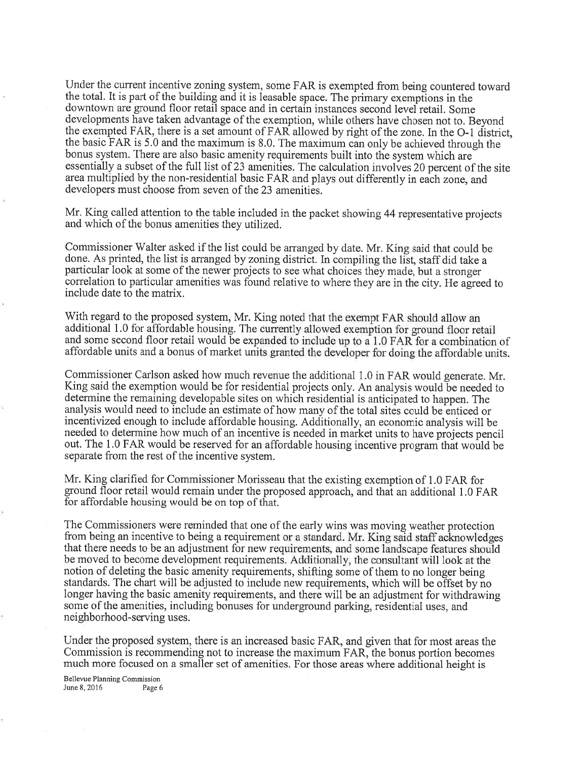Under the current incentive zoning system, some FAR is exempted from being countered toward the total. It is part of the building and it is leasable space. The primary exemptions in the downtown are ground floor retail space and in certain instances second level retail. Some developments have taken advantage of the exemption, while others have chosen not to. Beyond the exempted FAR, there is a set amount of FAR allowed by right of the zone. In the O-1 district, the basic FAR is 5.0 and the maximum is 8.0. The maximum can only be achieved through the bonus system. There are also basic amenity requirements built into the system which areessentially a subset of the full list of 23 amenities. The calculation involves 20 percent of the site area multiplied by the non-residential basic FAR and plays out differently in each zone, and developers must choose from seven of the 23 amenities.

Mr. King called attention to the table included in the packet showing 44 representative projects and which of the bonus amenities they utilized.

Commissioner Walter asked if the list could be arranged by date. Mr. King said that could be done. As printed, the list is arranged by zoning district. In compiling the list, staff did take a particular look at some of the newer projects to see what choices they made, but a stronger correlation to particular amenities was found relative to where they are in the city. He agreed to include date to the matrix.

With regard to the proposed system, Mr. King noted that the exempt FAR should allow an additional 1.0 for affordable housing. The currently allowed exemption for ground floor retail and some second floor retail would be expanded to include up to a  $1.0$  FAR for a combination of affordable units and a bonus of market units granted the developer for doing the affordable units.

Commissioner Carlson asked how much revenue the additional 1.0 in FAR would generate. Mr. King said the exemption would be for residential projects only. An analysis would be needed to determine the remaining developable sites on which residential is anticipated to happen. The analysis would need to include an estimate of how many of the total sites could be enticed or incentivized enough to include affordable housing. Additionally, an economic analysis will be needed to determine how much of an incentive is needed in market units to have projects pencil out. The 1.0 FAR would be reserved for an affordable housing incentive program that would be separate from the rest of the incentive system.

Mr. King clarified for Commissioner Morisseau that the existing exemption of 1.0 FAR for ground floor retail would remain under the proposed approach, and that an additional 1.0 FAR for affordable housing would be on top of that.

The Commissioners were reminded that one of the early wins was moving weather protection from being an incentive to being a requirement or a standard. Mr. King said staff acknowledges that there needs to be an adjustment for new requirements, and some landscape features should be moved to become development requirements. Additionally, the consultant will look at the notion of deleting the basic amenity requirements, shifting some of them to no longer being standards. The chart will be adjusted to include new requirements, which will be offset by no longer having the basic amenity requirements, and there will be an adjustment for withdrawing some of the amenities, including bonuses for underground parking, residential uses, and neighborhood-serving uses.

Under the proposed system, there is an increased basic FAR, and given that for most areas the Commission is recommending not to increase the maximum FAR, the bonus portion becomes much more focused on a smaller set of amenities. For those areas where additional height is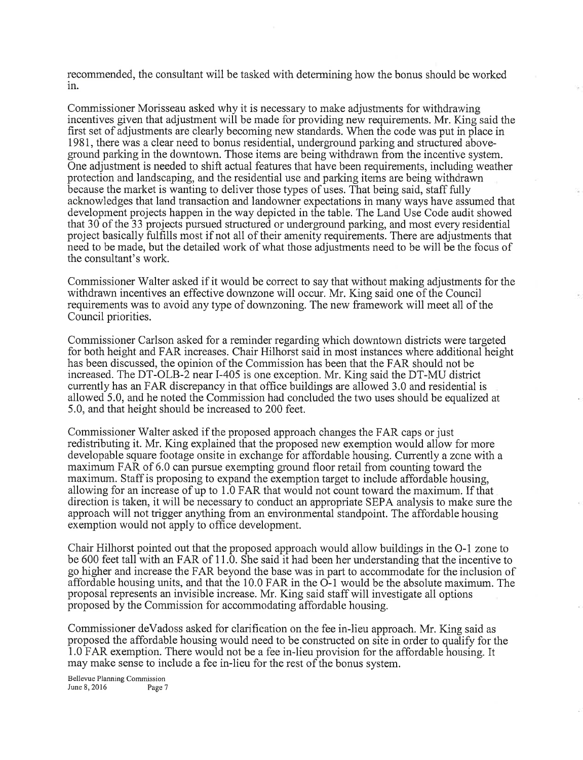recommended, the consultant will be tasked with determining how the bonus should be worked ln.

Commissioner Morisseau asked why it is necessary to make adjustments for withdrawing incentives given that adjustment will be made for providing new requirements. Mr. King said the first set of adjustments are clearly becoming new standards. When the code was put in place in 1981, there was a clear need to bonus residential, underground parking and structured aboveground parking in the downtown. Those items are being withdrawn from the incentive system. One adjustment is needed to shift acfual features that have been requirements, including weather protection and landscaping, and the residential use and parking items are being withdrawn because the market is wanting to deliver those types of uses. That being said, staff fully acknowledges that land transaction and landowner expectations in many ways have assumed that development projects happen in the way depicted in the table. The Land Use Code audit showed that 30 of the 33 projects pursued structured or underground parking, and most every residential project basically fuIfills most if not all of their amenity requirements. There are adjustments that need to be made, but the detailed work of what those adjustments need to be will be the focus of the consultant's work.

Commissioner Walter asked if it would be correct to say that without making adjustments for the withdrawn incentives an effective downzone will occur. Mr. King said one of the Council requirements was to avoid any type of downzoning. The new framework will meet all of the Council priorities.

Commissioner Carlson asked for a reminder regarding which downtown districts were targeted for both height and FAR increases. Chair Hilhorst said in most instances where additional height has been discussed, the opinion of the Commission has been that the FAR should not be increased. The DT-OLB-2 near I-405 is one exception. Mr. King said the DT-MU district currently has an FAR discrepancy in that office buildings are allowed 3.0 and residential is allowed 5.0, and he noted the Commission had concluded the two uses should be equalized at 5.0, and that height should be increased to 200 feet.

Commissioner Walter asked if the proposed approach changes the FAR caps or just redistributing it. Mr. King explained that the proposed new exemption would allow for more developable square footage onsite in exchange for affordable housing. Currently azone with <sup>a</sup> maximum FAR of 6.0 can pursue exempting ground floor retail from counting toward the maximum. Staff is proposing to expand the exemption target to include affordable housing, allowing for an increase of up to 1.0 FAR that would not count toward the maximum. If that direction is taken, it will be necessary to conduct an appropriate SEPA analysis to make sure the approach will not trigger anything from an environmental standpoint. The affordable housing exemption would not apply to office development.

Chair Hilhorst pointed out that the proposed approach would allow buildings in the O-1 zone to be 600 feet tall with an FAR of 11.0. She said it had been her understanding that the incentive to go higher and increase the FAR beyond the base was in part to accommodate for the inclusion of affordable housing units, and that the 10.0 FAR in the O-1 would be the absolute maximum. The proposal represents an invisible increase. Mr. King said staff will investigate all options proposed by the Commission for accommodating affordable housing.

Commissioner deVadoss asked for clarification on the fee in-lieu approach. Mr. King said as proposed the affordable housing would need to be constructed on site in order to qualify for the 1.0 FAR exemption. There would not be a fee in-lieu provision for the affordable housing. It may make sense to include a fee in-lieu for the rest of the bonus system.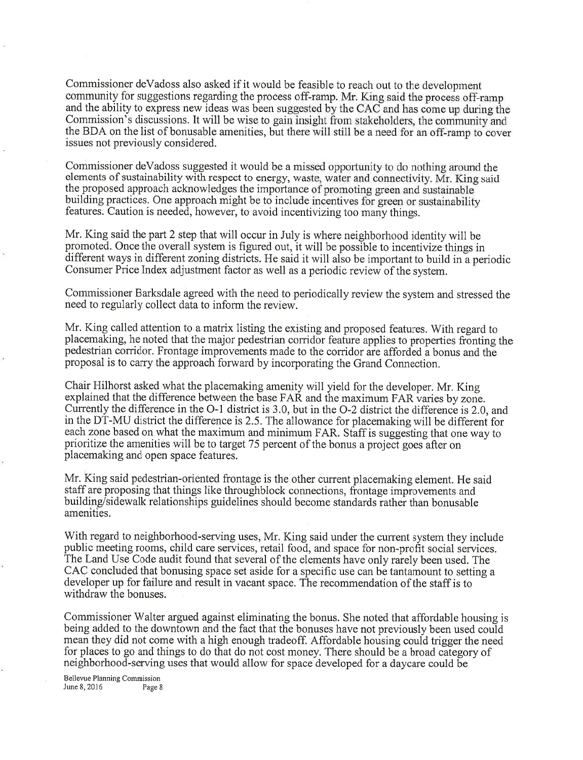Commissioner deVadoss also asked if it would be feasible to reach out to the development community for suggestions regarding the process off-ramp. Mr. King said the process off-ramp and the ability to express new ideas was been suggested by the CAC and has come up during the Commission's discussions. It will be wise to gain insight from stakeholders, the community and the BDA on the list of bonusable amenities, but there will still be a need for an off-ramp to cover issues not previously considered.

Commissioner deVadoss suggested it would be a missed opportunity to do nothing around the elements of sustainability with respect to energy, waste, water and connectivity. Mr. King said the proposed approach acknowledges the importance of promoting green and sustainable building practices. One approach might be to include incentives for green or sustainability features. Caution is needed, however, to avoid incentivizing too many things.

Mr. King said the part 2 step that will occur in July is where neighborhood identity will be promoted. Once the overall system is figured out, it will be possible to incentivize things in different ways in different zoning districts. He said it will also be important to build in a periodic Consumer Price Index adjustment factor as well as a periodic review of the system.

Commissioner Barksdale agreed with the need to periodically review the system and stressed the need to regularly collect data to inform the review.

Mr. King called attention to a matrix listing the existing and proposed features. With regard to placemaking, he noted that the major pedestrian corridor feature applies to properties fronting the pedestrian corridor. Frontage improvements made to the corridor are afforded a bonus and the proposal is to carry the approach forward by incorporating the Grand Connection.

Chair Hilhorst asked\_what the placemaking amenity will yield for the developer. Mr. King explained that the difference between the base FAR and the maximum FAR varies by zone. Currently the difference in the O-1 district is 3.0, but in the O-2 district the difference is 2.0, and in the DT-MU district the difference is 2.5. The allowance for placemaking will be different for each zone based on what the maximum and minimum FAR. Staff is suggesting that one way to prioritize the amenities will be to target 75 percent of the bonus a project goes after on placemaking and open space features.

Mr. King said pedestrian-oriented frontage is the other current placemaking element. He said staff are proposing that things like throughblock connections, frontage improvements and building/sidewalk relationships guidelines should become standards rather than bonusable amenities.

With regard to neighborhood-serving uses, Mr. King said under the current system they include public meeting rooms, child care services, retail food, and space for non-profit social services. The Land Use Code audit found that several of the elements have only rarely been used. The CAC concluded that bonusing space set aside for a specific use can be tantamount to setting <sup>a</sup> developer up for failure and result in vacant space. The recommendation of the staff is to withdraw the bonuses.

Commissioner Walter argued against eliminating the bonus. She noted that affordable housing is being added to the downtown and the fact that the bonuses have not previously been used could mean they did not come with a high enough tradeoff. Affordable housing could trigger the need for places to go and things to do that do not cost money. There should be a broad caiegory of neighborhood-serving uses that would allow for space developed for a daycare could be